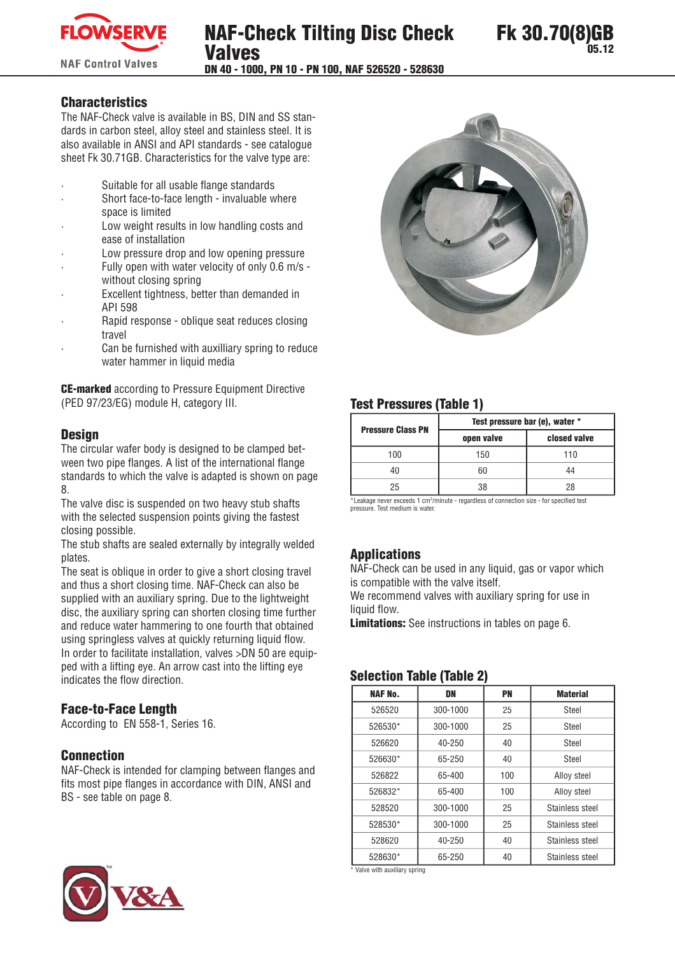

#### **Characteristics**

The NAF-Check valve is available in BS, DIN and SS standards in carbon steel, alloy steel and stainless steel. It is also available in ANSI and API standards - see catalogue sheet Fk 30.71GB. Characteristics for the valve type are:

- Suitable for all usable flange standards
- Short face-to-face length invaluable where space is limited
- Low weight results in low handling costs and ease of installation
- Low pressure drop and low opening pressure
- Fully open with water velocity of only 0.6 m/s without closing spring
- Excellent tightness, better than demanded in API 598
- Rapid response oblique seat reduces closing travel
- Can be furnished with auxilliary spring to reduce water hammer in liquid media

**CE-marked** according to Pressure Equipment Directive (PED 97/23/EG) module H, category III.

#### **Desian**

The circular wafer body is designed to be clamped between two pipe flanges. A list of the international flange standards to which the valve is adapted is shown on page 8.

The valve disc is suspended on two heavy stub shafts with the selected suspension points giving the fastest closing possible.

The stub shafts are sealed externally by integrally welded plates.

The seat is oblique in order to give a short closing travel and thus a short closing time. NAF-Check can also be supplied with an auxiliary spring. Due to the lightweight disc, the auxiliary spring can shorten closing time further and reduce water hammering to one fourth that obtained using springless valves at quickly returning liquid flow. In order to facilitate installation, valves >DN 50 are equipped with a lifting eye. An arrow cast into the lifting eye indicates the flow direction.

## **Face-to-Face Length**

According to EN 558-1, Series 16.

#### **Connection**

NAF-Check is intended for clamping between flanges and fits most pipe flanges in accordance with DIN. ANSI and BS - see table on page 8.



## **Test Pressures (Table 1)**

| <b>Pressure Class PN</b> | Test pressure bar (e), water * |              |  |  |  |  |  |  |
|--------------------------|--------------------------------|--------------|--|--|--|--|--|--|
|                          | open valve                     | closed valve |  |  |  |  |  |  |
| 100                      | 150                            | 110          |  |  |  |  |  |  |
| 40                       |                                | 44           |  |  |  |  |  |  |
| 25                       | 78                             | 28           |  |  |  |  |  |  |

\*Leakage never exceeds 1 cm<sup>3</sup>/minute - regardless of connection size - for specified test pressure. Test medium is water.

#### **Applications**

NAF-Check can be used in any liquid, gas or vapor which is compatible with the valve itself.

We recommend valves with auxiliary spring for use in liquid flow.

**Limitations:** See instructions in tables on page 6.

#### **Selection Table (Table 2)**

| <b>NAF No.</b> | DN       | PN  | <b>Material</b> |  |
|----------------|----------|-----|-----------------|--|
| 526520         | 300-1000 | 25  | Steel           |  |
| 526530*        | 300-1000 | 25  | Steel           |  |
| 526620         | 40-250   | 40  | Steel           |  |
| 526630*        | 65-250   | 40  | Steel           |  |
| 526822         | 65-400   | 100 | Alloy steel     |  |
| 526832*        | 65-400   | 100 | Alloy steel     |  |
| 528520         | 300-1000 | 25  | Stainless steel |  |
| 528530*        | 300-1000 | 25  | Stainless steel |  |
| 528620         | 40-250   | 40  | Stainless steel |  |
| 528630*        | 65-250   | 40  | Stainless steel |  |

\* Valve with auxiliary spring

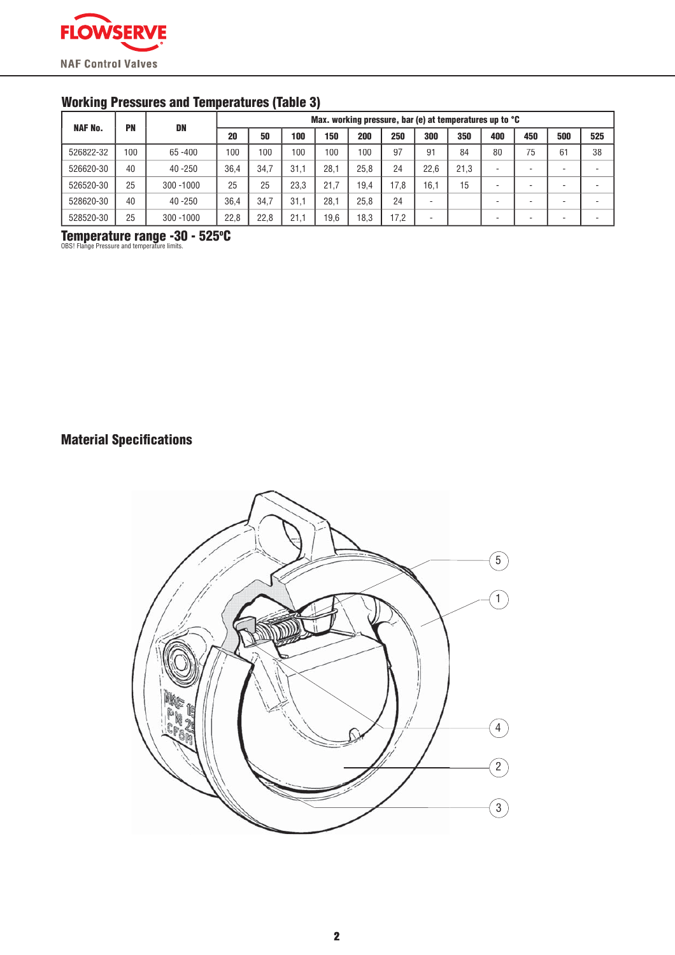

## **Working Pressures and Temperatures (Table 3)**

| <b>NAF No.</b> | PN  | DN           |      | Max. working pressure, bar (e) at temperatures up to °C |      |      |      |      |      |      |     |     |     |     |
|----------------|-----|--------------|------|---------------------------------------------------------|------|------|------|------|------|------|-----|-----|-----|-----|
|                |     |              | 20   | 50                                                      | 100  | 150  | 200  | 250  | 300  | 350  | 400 | 450 | 500 | 525 |
| 526822-32      | 100 | $65 - 400$   | 100  | 100                                                     | 100  | 100  | 100  | 97   | 91   | 84   | 80  | 75  | 61  | 38  |
| 526620-30      | 40  | $40 - 250$   | 36.4 | 34.7                                                    | 31.1 | 28.1 | 25.8 | 24   | 22.6 | 21.3 |     |     |     |     |
| 526520-30      | 25  | $300 - 1000$ | 25   | 25                                                      | 23.3 | 21.7 | 19.4 | 17.8 | 16.1 | 15   |     |     |     |     |
| 528620-30      | 40  | $40 - 250$   | 36.4 | 34.7                                                    | 31.1 | 28.1 | 25.8 | 24   |      |      |     |     |     |     |
| 528520-30      | 25  | $300 - 1000$ | 22,8 | 22.8                                                    | 21.1 | 19.6 | 18,3 | 17,2 |      |      |     |     |     |     |

Temperature range -30 - 525°C

## **Material Specifications**

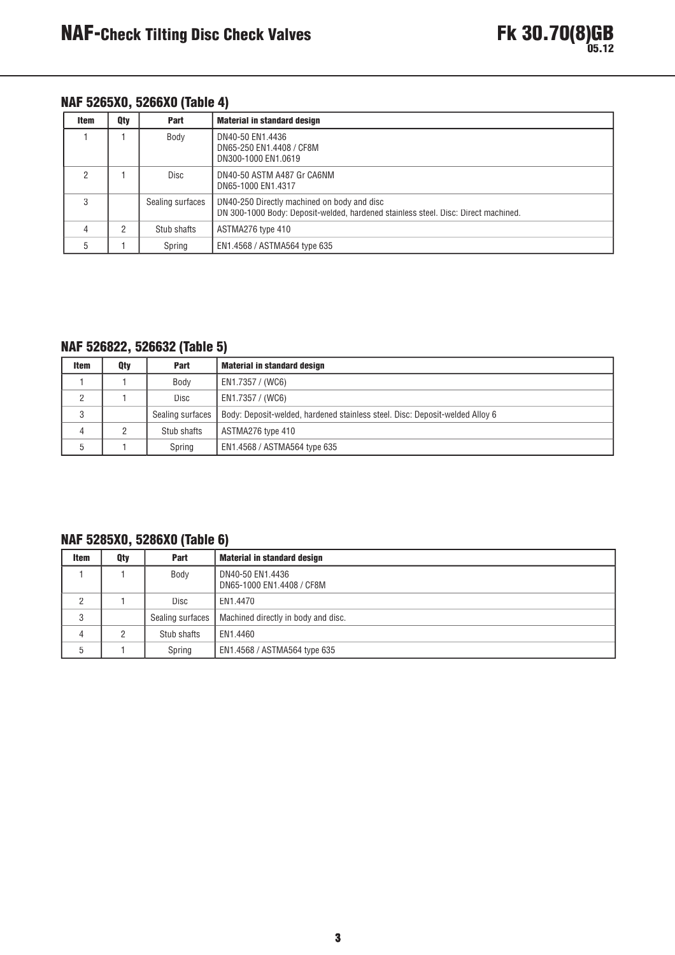## NAF 5265X0, 5266X0 (Table 4)

| <b>Item</b> | Qty | Part             | <b>Material in standard design</b>                                                                                                |
|-------------|-----|------------------|-----------------------------------------------------------------------------------------------------------------------------------|
|             |     | Body             | DN40-50 EN1.4436<br>DN65-250 EN1.4408 / CF8M<br>DN300-1000 EN1.0619                                                               |
|             |     | Disc             | DN40-50 ASTM A487 Gr CA6NM<br>DN65-1000 EN1.4317                                                                                  |
| 3           |     | Sealing surfaces | DN40-250 Directly machined on body and disc<br>DN 300-1000 Body: Deposit-welded, hardened stainless steel. Disc: Direct machined. |
| 4           | C.  | Stub shafts      | ASTMA276 type 410                                                                                                                 |
| 5           |     | Spring           | EN1.4568 / ASTMA564 type 635                                                                                                      |

## NAF 526822, 526632 (Table 5)

| <b>Item</b> | Qty | Part             | <b>Material in standard design</b>                                           |
|-------------|-----|------------------|------------------------------------------------------------------------------|
|             |     | Body             | EN1.7357 / (WC6)                                                             |
|             |     | Disc             | EN1.7357 / (WC6)                                                             |
|             |     | Sealing surfaces | Body: Deposit-welded, hardened stainless steel. Disc: Deposit-welded Alloy 6 |
|             |     | Stub shafts      | ASTMA276 type 410                                                            |
|             |     | Spring           | EN1.4568 / ASTMA564 type 635                                                 |

## NAF 5285X0, 5286X0 (Table 6)

| <b>Item</b> | Qty | <b>Part</b>      | <b>Material in standard design</b>            |
|-------------|-----|------------------|-----------------------------------------------|
|             |     | Body             | DN40-50 EN1.4436<br>DN65-1000 EN1.4408 / CF8M |
| 2           |     | <b>Disc</b>      | EN1.4470                                      |
| 3           |     | Sealing surfaces | Machined directly in body and disc.           |
| 4           | 2   | Stub shafts      | EN1.4460                                      |
| 5           |     | Spring           | EN1.4568 / ASTMA564 type 635                  |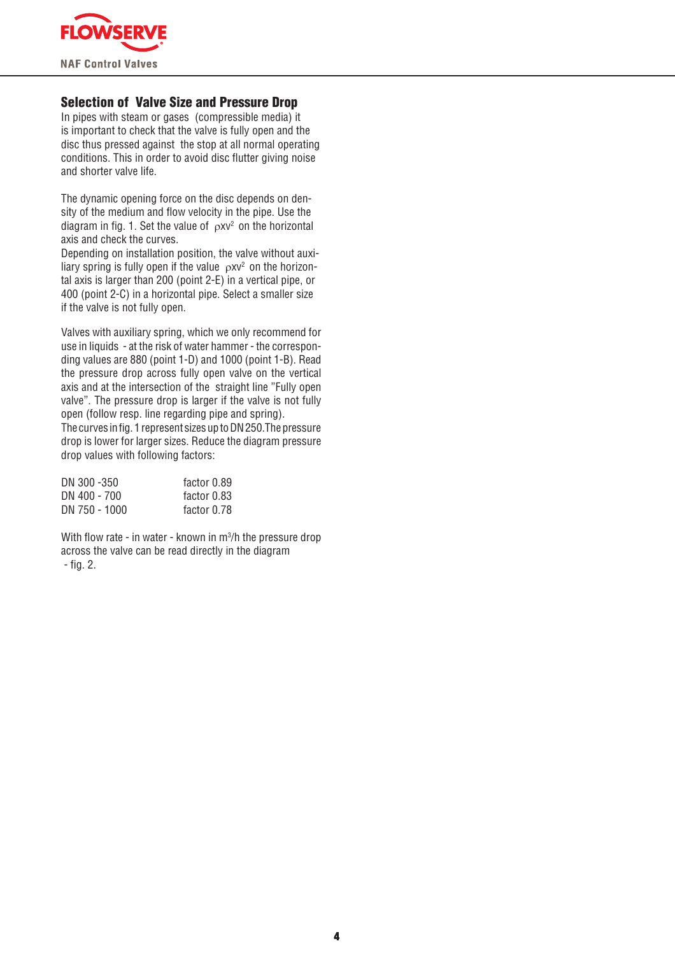

## **Selection of Valve Size and Pressure Drop**

In pipes with steam or gases (compressible media) it is important to check that the valve is fully open and the disc thus pressed against the stop at all normal operating conditions. This in order to avoid disc flutter giving noise and shorter valve life.

The dynamic opening force on the disc depends on density of the medium and flow velocity in the pipe. Use the diagram in fig. 1. Set the value of  $\alpha$ xy<sup>2</sup> on the horizontal axis and check the curves.

Depending on installation position, the valve without auxiliary spring is fully open if the value  $\rho XV^2$  on the horizontal axis is larger than 200 (point 2-E) in a vertical pipe, or 400 (point 2-C) in a horizontal pipe. Select a smaller size if the valve is not fully open.

Valves with auxiliary spring, which we only recommend for use in liquids - at the risk of water hammer - the corresponding values are 880 (point 1-D) and 1000 (point 1-B). Read the pressure drop across fully open valve on the vertical axis and at the intersection of the straight line "Fully open valve". The pressure drop is larger if the valve is not fully open (follow resp. line regarding pipe and spring).

The curves in fig. 1 represent sizes up to DN 250. The pressure drop is lower for larger sizes. Reduce the diagram pressure drop values with following factors:

| DN 300 -350   | factor 0.89 |
|---------------|-------------|
| DN 400 - 700  | factor 0.83 |
| DN 750 - 1000 | factor 0.78 |

With flow rate - in water - known in m<sup>3</sup>/h the pressure drop across the valve can be read directly in the diagram  $-$  fig. 2.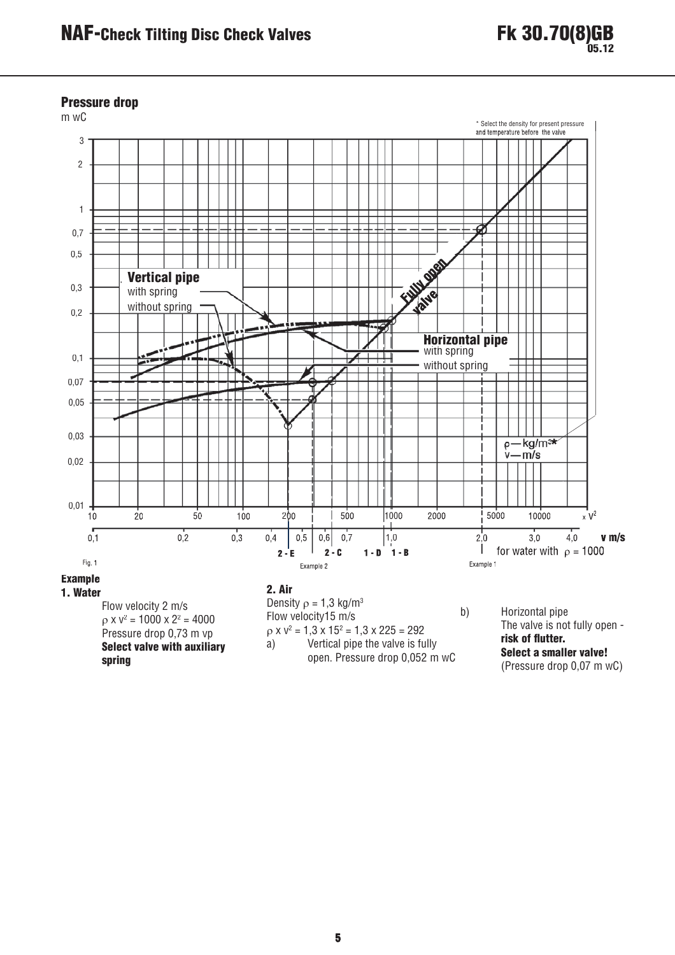

#### **Pressure drop**



spring

open. Pressure drop 0,052 m wC

Select a smaller valve! (Pressure drop 0.07 m wC)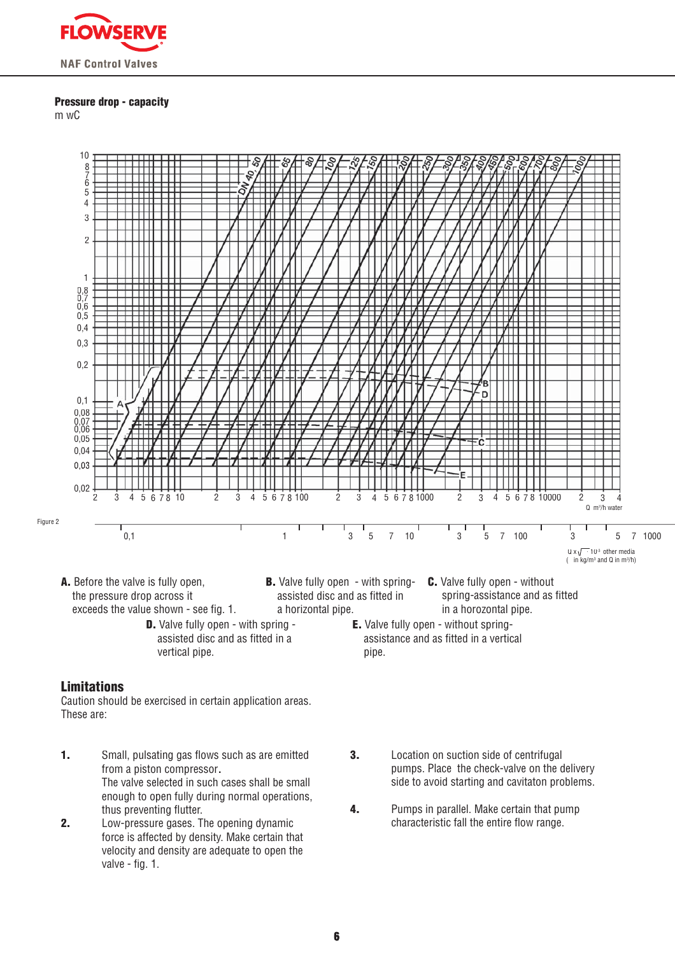

#### **Pressure drop - capacity**

 $m$  w $C$ 



- A. Before the valve is fully open. the pressure drop across it exceeds the value shown - see fig. 1.
	- **D.** Valve fully open with spring assisted disc and as fitted in a vertical pipe.
- **B.** Valve fully open with spring- **C.** Valve fully open without assisted disc and as fitted in a horizontal pipe.
- spring-assistance and as fitted in a horozontal pipe.
	- **E.** Valve fully open without springassistance and as fitted in a vertical pipe.

## **Limitations**

Caution should be exercised in certain application areas. These are:

- $\mathbf{1}$ . Small, pulsating gas flows such as are emitted from a piston compressor. The valve selected in such cases shall be small enough to open fully during normal operations, thus preventing flutter.
- $2.$ Low-pressure gases. The opening dynamic force is affected by density. Make certain that velocity and density are adequate to open the valve - fig. 1.
- $3.$ Location on suction side of centrifugal pumps. Place the check-valve on the delivery side to avoid starting and cavitaton problems.
- Pumps in parallel. Make certain that pump  $\overline{4}$ . characteristic fall the entire flow range.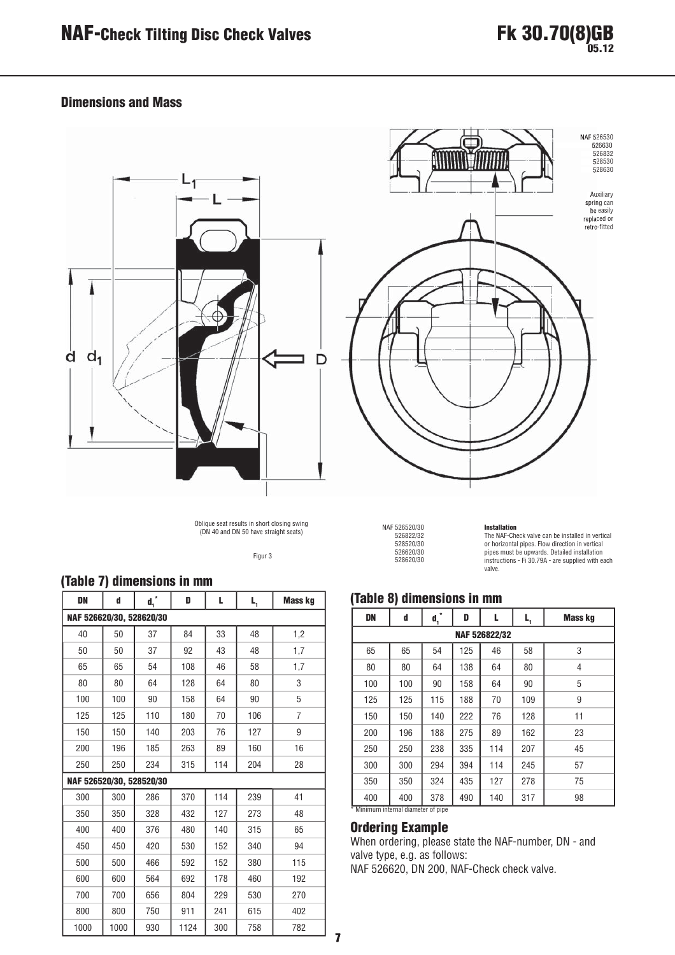## **Dimensions and Mass**



Oblique seat results in short closing swing<br>(DN 40 and DN 50 have straight seats)

Figur 3



NAF 526520/30<br>526822/32 528520/30 526620/30 528620/30

**Installation**<br>The NAF-Check valve can be installed in vertical The wave contained by the state of the instanton in vertical<br>pipes must be upwards. Detailed installation<br>instructions - Fi 30.79A - are supplied with each valve.

## (Table 8) dimensions in mm

| DN  | d   | $\mathbf{d_1}^*$ | D   | L             | L,  | <b>Mass kg</b> |  |  |  |  |  |  |  |
|-----|-----|------------------|-----|---------------|-----|----------------|--|--|--|--|--|--|--|
|     |     |                  |     | NAF 526822/32 |     |                |  |  |  |  |  |  |  |
| 65  | 65  | 54               | 125 | 46            | 58  | 3              |  |  |  |  |  |  |  |
| 80  | 80  | 64               | 138 | 64            | 80  | 4              |  |  |  |  |  |  |  |
| 100 | 100 | 90               | 158 | 64            | 90  | 5              |  |  |  |  |  |  |  |
| 125 | 125 | 115              | 188 | 70            | 109 | 9              |  |  |  |  |  |  |  |
| 150 | 150 | 140              | 222 | 76            | 128 | 11             |  |  |  |  |  |  |  |
| 200 | 196 | 188              | 275 | 89            | 162 | 23             |  |  |  |  |  |  |  |
| 250 | 250 | 238              | 335 | 114           | 207 | 45             |  |  |  |  |  |  |  |
| 300 | 300 | 294              | 394 | 114           | 245 | 57             |  |  |  |  |  |  |  |
| 350 | 350 | 324              | 435 | 127           | 278 | 75             |  |  |  |  |  |  |  |
| 400 | 400 | 378              | 490 | 140           | 317 | 98             |  |  |  |  |  |  |  |

#### **Ordering Example**

When ordering, please state the NAF-number, DN - and valve type, e.g. as follows: NAF 526620, DN 200, NAF-Check check valve.

# (Table 7) dimensions in mm

| <b>DN</b>                | d    | $\mathbf{d_1}^*$ | D    | L   | L,  | <b>Mass kg</b> |
|--------------------------|------|------------------|------|-----|-----|----------------|
| NAF 526620/30, 528620/30 |      |                  |      |     |     |                |
| 40                       | 50   | 37               | 84   | 33  | 48  | 1,2            |
| 50                       | 50   | 37               | 92   | 43  | 48  | 1,7            |
| 65                       | 65   | 54               | 108  | 46  | 58  | 1,7            |
| 80                       | 80   | 64               | 128  | 64  | 80  | 3              |
| 100                      | 100  | 90               | 158  | 64  | 90  | 5              |
| 125                      | 125  | 110              | 180  | 70  | 106 | 7              |
| 150                      | 150  | 140              | 203  | 76  | 127 | 9              |
| 200                      | 196  | 185              | 263  | 89  | 160 | 16             |
| 250                      | 250  | 234              | 315  | 114 | 204 | 28             |
| NAF 526520/30, 528520/30 |      |                  |      |     |     |                |
| 300                      | 300  | 286              | 370  | 114 | 239 | 41             |
| 350                      | 350  | 328              | 432  | 127 | 273 | 48             |
| 400                      | 400  | 376              | 480  | 140 | 315 | 65             |
| 450                      | 450  | 420              | 530  | 152 | 340 | 94             |
| 500                      | 500  | 466              | 592  | 152 | 380 | 115            |
| 600                      | 600  | 564              | 692  | 178 | 460 | 192            |
| 700                      | 700  | 656              | 804  | 229 | 530 | 270            |
| 800                      | 800  | 750              | 911  | 241 | 615 | 402            |
| 1000                     | 1000 | 930              | 1124 | 300 | 758 | 782            |